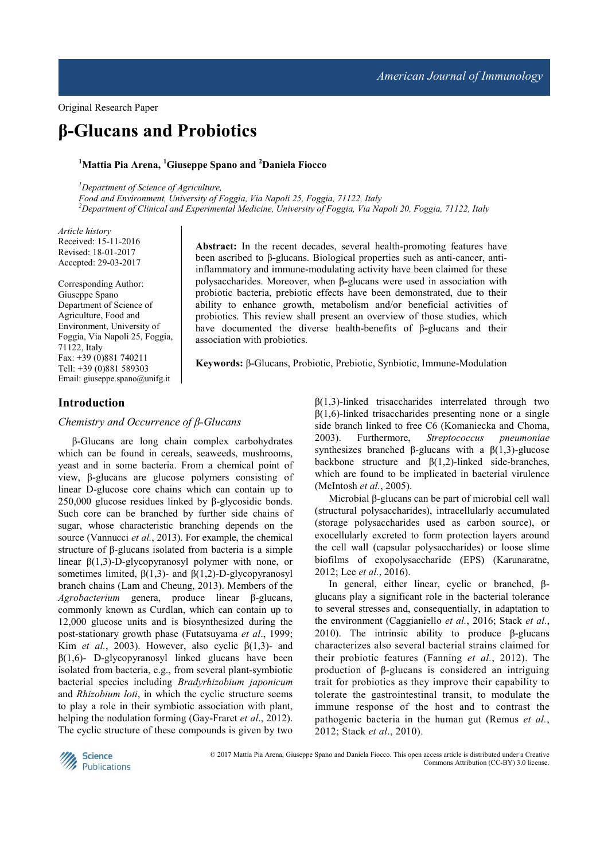Original Research Paper

# **β-Glucans and Probiotics**

#### **<sup>1</sup>Mattia Pia Arena, <sup>1</sup>Giuseppe Spano and <sup>2</sup>Daniela Fiocco**

*<sup>1</sup>Department of Science of Agriculture,* 

*Food and Environment, University of Foggia, Via Napoli 25, Foggia, 71122, Italy <sup>2</sup>Department of Clinical and Experimental Medicine, University of Foggia, Via Napoli 20, Foggia, 71122, Italy* 

*Article history*  Received: 15-11-2016 Revised: 18-01-2017 Accepted: 29-03-2017

Corresponding Author: Giuseppe Spano Department of Science of Agriculture, Food and Environment, University of Foggia, Via Napoli 25, Foggia, 71122, Italy Fax: +39 (0)881 740211 Tell: +39 (0)881 589303 Email: giuseppe.spano@unifg.it

**Abstract:** In the recent decades, several health-promoting features have been ascribed to β**-**glucans. Biological properties such as anti-cancer, antiinflammatory and immune-modulating activity have been claimed for these polysaccharides. Moreover, when β**-**glucans were used in association with probiotic bacteria, prebiotic effects have been demonstrated, due to their ability to enhance growth, metabolism and/or beneficial activities of probiotics. This review shall present an overview of those studies, which have documented the diverse health-benefits of β**-**glucans and their association with probiotics.

**Keywords:** β-Glucans, Probiotic, Prebiotic, Synbiotic, Immune-Modulation

#### **Introduction**

#### *Chemistry and Occurrence of β-Glucans*

β-Glucans are long chain complex carbohydrates which can be found in cereals, seaweeds, mushrooms, yeast and in some bacteria. From a chemical point of view, β-glucans are glucose polymers consisting of linear D-glucose core chains which can contain up to 250,000 glucose residues linked by β-glycosidic bonds. Such core can be branched by further side chains of sugar, whose characteristic branching depends on the source (Vannucci *et al.*, 2013). For example, the chemical structure of β-glucans isolated from bacteria is a simple linear β(1,3)-D-glycopyranosyl polymer with none, or sometimes limited,  $\beta(1,3)$ - and  $\beta(1,2)$ -D-glycopyranosyl branch chains (Lam and Cheung, 2013). Members of the *Agrobacterium* genera, produce linear β-glucans, commonly known as Curdlan, which can contain up to 12,000 glucose units and is biosynthesized during the post-stationary growth phase (Futatsuyama *et al*., 1999; Kim *et al.*, 2003). However, also cyclic  $\beta(1,3)$ - and  $β(1,6)$ - D-glycopyranosyl linked glucans have been isolated from bacteria, e.g., from several plant-symbiotic bacterial species including *Bradyrhizobium japonicum* and *Rhizobium loti*, in which the cyclic structure seems to play a role in their symbiotic association with plant, helping the nodulation forming (Gay-Fraret *et al*., 2012). The cyclic structure of these compounds is given by two

 $\beta(1,3)$ -linked trisaccharides interrelated through two  $β(1,6)$ -linked trisaccharides presenting none or a single side branch linked to free C6 (Komaniecka and Choma, 2003). Furthermore, *Streptococcus pneumoniae*  synthesizes branched β-glucans with a β(1,3)-glucose backbone structure and  $\beta(1,2)$ -linked side-branches, which are found to be implicated in bacterial virulence (McIntosh *et al.*, 2005).

Microbial β-glucans can be part of microbial cell wall (structural polysaccharides), intracellularly accumulated (storage polysaccharides used as carbon source), or exocellularly excreted to form protection layers around the cell wall (capsular polysaccharides) or loose slime biofilms of exopolysaccharide (EPS) (Karunaratne, 2012; Lee *et al.*, 2016).

In general, either linear, cyclic or branched, βglucans play a significant role in the bacterial tolerance to several stresses and, consequentially, in adaptation to the environment (Caggianiello *et al.*, 2016; Stack *et al.*, 2010). The intrinsic ability to produce β-glucans characterizes also several bacterial strains claimed for their probiotic features (Fanning *et al.*, 2012). The production of β-glucans is considered an intriguing trait for probiotics as they improve their capability to tolerate the gastrointestinal transit, to modulate the immune response of the host and to contrast the pathogenic bacteria in the human gut (Remus *et al.*, 2012; Stack *et al*., 2010).



© 2017 Mattia Pia Arena, Giuseppe Spano and Daniela Fiocco. This open access article is distributed under a Creative Commons Attribution (CC-BY) 3.0 license.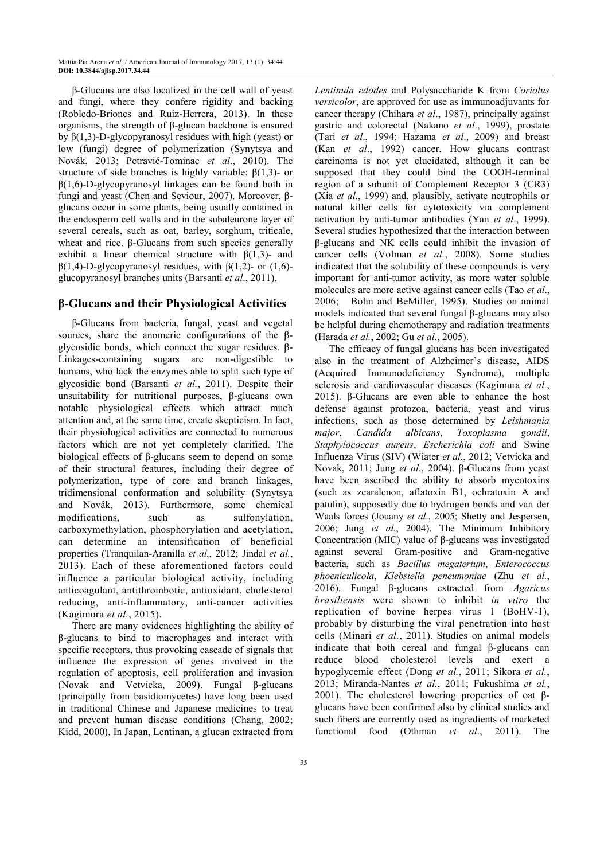β-Glucans are also localized in the cell wall of yeast and fungi, where they confere rigidity and backing (Robledo-Briones and Ruiz-Herrera, 2013). In these organisms, the strength of β-glucan backbone is ensured by β(1,3)-D-glycopyranosyl residues with high (yeast) or low (fungi) degree of polymerization (Synytsya and Novák, 2013; Petravić-Tominac *et al*., 2010). The structure of side branches is highly variable;  $\beta(1,3)$ - or  $\beta(1,6)$ -D-glycopyranosyl linkages can be found both in fungi and yeast (Chen and Seviour, 2007). Moreover, βglucans occur in some plants, being usually contained in the endosperm cell walls and in the subaleurone layer of several cereals, such as oat, barley, sorghum, triticale, wheat and rice. β-Glucans from such species generally exhibit a linear chemical structure with  $\beta(1,3)$ - and β(1,4)-D-glycopyranosyl residues, with β(1,2)- or (1,6) glucopyranosyl branches units (Barsanti *et al*., 2011).

# **β-Glucans and their Physiological Activities**

β-Glucans from bacteria, fungal, yeast and vegetal sources, share the anomeric configurations of the βglycosidic bonds, which connect the sugar residues. β-Linkages-containing sugars are non-digestible to humans, who lack the enzymes able to split such type of glycosidic bond (Barsanti *et al.*, 2011). Despite their unsuitability for nutritional purposes, β-glucans own notable physiological effects which attract much attention and, at the same time, create skepticism. In fact, their physiological activities are connected to numerous factors which are not yet completely clarified. The biological effects of β-glucans seem to depend on some of their structural features, including their degree of polymerization, type of core and branch linkages, tridimensional conformation and solubility (Synytsya and Novák, 2013). Furthermore, some chemical modifications, such as sulfonylation, carboxymethylation, phosphorylation and acetylation, can determine an intensification of beneficial properties (Tranquilan-Aranilla *et al.*, 2012; Jindal *et al.*, 2013). Each of these aforementioned factors could influence a particular biological activity, including anticoagulant, antithrombotic, antioxidant, cholesterol reducing, anti-inflammatory, anti-cancer activities (Kagimura *et al.*, 2015).

There are many evidences highlighting the ability of β-glucans to bind to macrophages and interact with specific receptors, thus provoking cascade of signals that influence the expression of genes involved in the regulation of apoptosis, cell proliferation and invasion (Novak and Vetvicka, 2009). Fungal β-glucans (principally from basidiomycetes) have long been used in traditional Chinese and Japanese medicines to treat and prevent human disease conditions (Chang, 2002; Kidd, 2000). In Japan, Lentinan, a glucan extracted from

*Lentinula edodes* and Polysaccharide K from *Coriolus versicolor*, are approved for use as immunoadjuvants for cancer therapy (Chihara *et al*., 1987), principally against gastric and colorectal (Nakano *et al*., 1999), prostate (Tari *et al*., 1994; Hazama *et al*., 2009) and breast (Kan *et al*., 1992) cancer. How glucans contrast carcinoma is not yet elucidated, although it can be supposed that they could bind the COOH-terminal region of a subunit of Complement Receptor 3 (CR3) (Xia *et al*., 1999) and, plausibly, activate neutrophils or natural killer cells for cytotoxicity via complement activation by anti-tumor antibodies (Yan *et al*., 1999). Several studies hypothesized that the interaction between β-glucans and NK cells could inhibit the invasion of cancer cells (Volman *et al.*, 2008). Some studies indicated that the solubility of these compounds is very important for anti-tumor activity, as more water soluble molecules are more active against cancer cells (Tao *et al*., 2006; Bohn and BeMiller, 1995). Studies on animal models indicated that several fungal β-glucans may also be helpful during chemotherapy and radiation treatments (Harada *et al.*, 2002; Gu *et al.*, 2005).

The efficacy of fungal glucans has been investigated also in the treatment of Alzheimer's disease, AIDS (Acquired Immunodeficiency Syndrome), multiple sclerosis and cardiovascular diseases (Kagimura *et al.*, 2015). β-Glucans are even able to enhance the host defense against protozoa, bacteria, yeast and virus infections, such as those determined by *Leishmania major*, *Candida albicans*, *Toxoplasma gondii*, *Staphylococcus aureus*, *Escherichia coli* and Swine Influenza Virus (SIV) (Wiater *et al.*, 2012; Vetvicka and Novak, 2011; Jung *et al*., 2004). β-Glucans from yeast have been ascribed the ability to absorb mycotoxins (such as zearalenon, aflatoxin B1, ochratoxin A and patulin), supposedly due to hydrogen bonds and van der Waals forces (Jouany *et al*., 2005; Shetty and Jespersen, 2006; Jung *et al.*, 2004). The Minimum Inhibitory Concentration (MIC) value of β-glucans was investigated against several Gram-positive and Gram-negative bacteria, such as *Bacillus megaterium*, *Enterococcus phoeniculicola*, *Klebsiella peneumoniae* (Zhu *et al.*, 2016). Fungal β-glucans extracted from *Agaricus brasiliensis* were shown to inhibit *in vitro* the replication of bovine herpes virus 1 (BoHV-1), probably by disturbing the viral penetration into host cells (Minari *et al.*, 2011). Studies on animal models indicate that both cereal and fungal β-glucans can reduce blood cholesterol levels and exert a hypoglycemic effect (Dong *et al.*, 2011; Sikora *et al.*, 2013; Miranda-Nantes *et al.*, 2011; Fukushima *et al.*, 2001). The cholesterol lowering properties of oat  $β$ glucans have been confirmed also by clinical studies and such fibers are currently used as ingredients of marketed functional food (Othman *et al*., 2011). The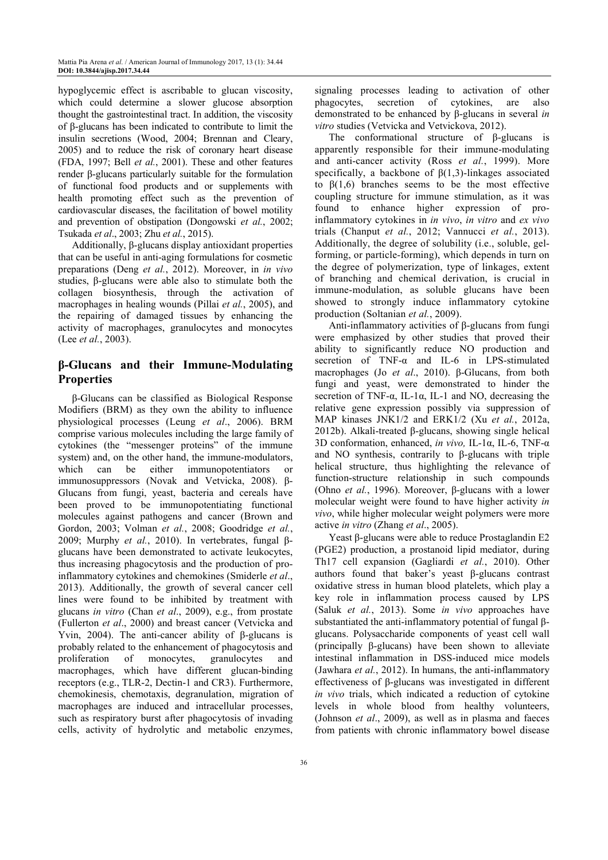hypoglycemic effect is ascribable to glucan viscosity, which could determine a slower glucose absorption thought the gastrointestinal tract. In addition, the viscosity of β-glucans has been indicated to contribute to limit the insulin secretions (Wood, 2004; Brennan and Cleary, 2005) and to reduce the risk of coronary heart disease (FDA, 1997; Bell *et al.*, 2001). These and other features render β-glucans particularly suitable for the formulation of functional food products and or supplements with health promoting effect such as the prevention of cardiovascular diseases, the facilitation of bowel motility and prevention of obstipation (Dongowski *et al.*, 2002; Tsukada *et al*., 2003; Zhu *et al.*, 2015).

Additionally, β-glucans display antioxidant properties that can be useful in anti-aging formulations for cosmetic preparations (Deng *et al.*, 2012). Moreover, in *in vivo*  studies, β-glucans were able also to stimulate both the collagen biosynthesis, through the activation of macrophages in healing wounds (Pillai *et al.*, 2005), and the repairing of damaged tissues by enhancing the activity of macrophages, granulocytes and monocytes (Lee *et al.*, 2003).

# **β-Glucans and their Immune-Modulating Properties**

β-Glucans can be classified as Biological Response Modifiers (BRM) as they own the ability to influence physiological processes (Leung *et al*., 2006). BRM comprise various molecules including the large family of cytokines (the "messenger proteins" of the immune system) and, on the other hand, the immune-modulators, which can be either immunopotentiators or immunosuppressors (Novak and Vetvicka, 2008). β-Glucans from fungi, yeast, bacteria and cereals have been proved to be immunopotentiating functional molecules against pathogens and cancer (Brown and Gordon, 2003; Volman *et al.*, 2008; Goodridge *et al.*, 2009; Murphy *et al.*, 2010). In vertebrates, fungal βglucans have been demonstrated to activate leukocytes, thus increasing phagocytosis and the production of proinflammatory cytokines and chemokines (Smiderle *et al*., 2013). Additionally, the growth of several cancer cell lines were found to be inhibited by treatment with glucans *in vitro* (Chan *et al*., 2009), e.g., from prostate (Fullerton *et al*., 2000) and breast cancer (Vetvicka and Yvin, 2004). The anti-cancer ability of β-glucans is probably related to the enhancement of phagocytosis and proliferation of monocytes, granulocytes and macrophages, which have different glucan-binding receptors (e.g., TLR-2, Dectin-1 and CR3). Furthermore, chemokinesis, chemotaxis, degranulation, migration of macrophages are induced and intracellular processes, such as respiratory burst after phagocytosis of invading cells, activity of hydrolytic and metabolic enzymes,

signaling processes leading to activation of other phagocytes, secretion of cytokines, are also demonstrated to be enhanced by β-glucans in several *in vitro* studies (Vetvicka and Vetvickova, 2012).

The conformational structure of β-glucans is apparently responsible for their immune-modulating and anti-cancer activity (Ross *et al.*, 1999). More specifically, a backbone of  $\beta(1,3)$ -linkages associated to β(1,6) branches seems to be the most effective coupling structure for immune stimulation, as it was found to enhance higher expression of proinflammatory cytokines in *in vivo*, *in vitro* and *ex vivo* trials (Chanput *et al.*, 2012; Vannucci *et al.*, 2013). Additionally, the degree of solubility (i.e., soluble, gelforming, or particle-forming), which depends in turn on the degree of polymerization, type of linkages, extent of branching and chemical derivation, is crucial in immune-modulation, as soluble glucans have been showed to strongly induce inflammatory cytokine production (Soltanian *et al.*, 2009).

Anti-inflammatory activities of β-glucans from fungi were emphasized by other studies that proved their ability to significantly reduce NO production and secretion of TNF-α and IL-6 in LPS-stimulated macrophages (Jo *et al*., 2010). β-Glucans, from both fungi and yeast, were demonstrated to hinder the secretion of TNF- $\alpha$ , IL-1 $\alpha$ , IL-1 and NO, decreasing the relative gene expression possibly via suppression of MAP kinases JNK1/2 and ERK1/2 (Xu *et al.*, 2012a, 2012b). Alkali-treated β-glucans, showing single helical 3D conformation, enhanced, *in vivo,* IL-1α, IL-6, TNF-α and NO synthesis, contrarily to β-glucans with triple helical structure, thus highlighting the relevance of function-structure relationship in such compounds (Ohno *et al.*, 1996). Moreover, β-glucans with a lower molecular weight were found to have higher activity *in vivo*, while higher molecular weight polymers were more active *in vitro* (Zhang *et al*., 2005).

Yeast β-glucans were able to reduce Prostaglandin E2 (PGE2) production, a prostanoid lipid mediator, during Th17 cell expansion (Gagliardi *et al.*, 2010). Other authors found that baker's yeast β-glucans contrast oxidative stress in human blood platelets, which play a key role in inflammation process caused by LPS (Saluk *et al.*, 2013). Some *in vivo* approaches have substantiated the anti-inflammatory potential of fungal βglucans. Polysaccharide components of yeast cell wall (principally β-glucans) have been shown to alleviate intestinal inflammation in DSS-induced mice models (Jawhara *et al.*, 2012). In humans, the anti-inflammatory effectiveness of β-glucans was investigated in different *in vivo* trials, which indicated a reduction of cytokine levels in whole blood from healthy volunteers, (Johnson *et al*., 2009), as well as in plasma and faeces from patients with chronic inflammatory bowel disease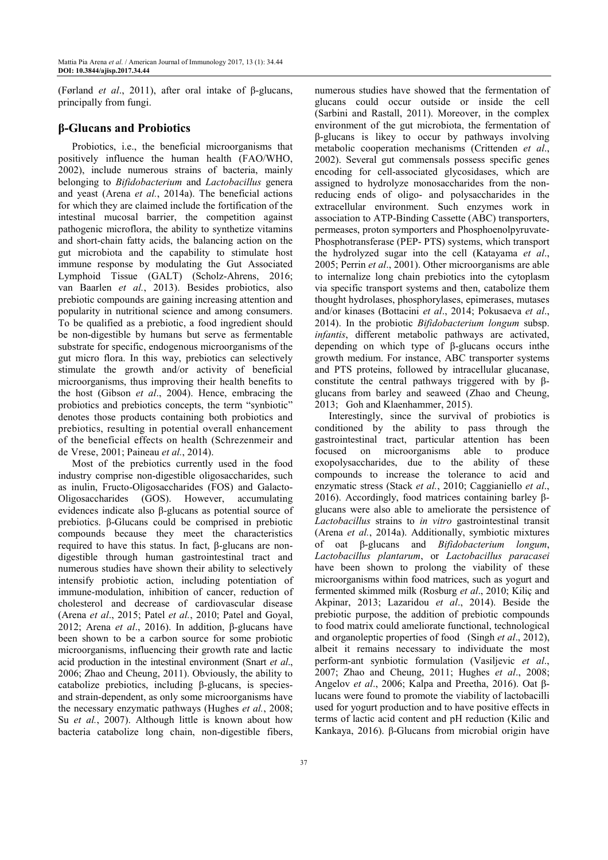(Førland *et al*., 2011), after oral intake of β-glucans, principally from fungi.

# **β-Glucans and Probiotics**

Probiotics, i.e., the beneficial microorganisms that positively influence the human health (FAO/WHO, 2002), include numerous strains of bacteria, mainly belonging to *Bifidobacterium* and *Lactobacillus* genera and yeast (Arena *et al.*, 2014a). The beneficial actions for which they are claimed include the fortification of the intestinal mucosal barrier, the competition against pathogenic microflora, the ability to synthetize vitamins and short-chain fatty acids, the balancing action on the gut microbiota and the capability to stimulate host immune response by modulating the Gut Associated Lymphoid Tissue (GALT) (Scholz-Ahrens, 2016; van Baarlen *et al.*, 2013). Besides probiotics, also prebiotic compounds are gaining increasing attention and popularity in nutritional science and among consumers. To be qualified as a prebiotic, a food ingredient should be non-digestible by humans but serve as fermentable substrate for specific, endogenous microorganisms of the gut micro flora. In this way, prebiotics can selectively stimulate the growth and/or activity of beneficial microorganisms, thus improving their health benefits to the host (Gibson *et al*., 2004). Hence, embracing the probiotics and prebiotics concepts, the term "synbiotic" denotes those products containing both probiotics and prebiotics, resulting in potential overall enhancement of the beneficial effects on health (Schrezenmeir and de Vrese, 2001; Paineau *et al.*, 2014).

Most of the prebiotics currently used in the food industry comprise non-digestible oligosaccharides, such as inulin, Fructo-Oligosaccharides (FOS) and Galacto-Oligosaccharides (GOS). However, accumulating evidences indicate also β-glucans as potential source of prebiotics. β-Glucans could be comprised in prebiotic compounds because they meet the characteristics required to have this status. In fact, β-glucans are nondigestible through human gastrointestinal tract and numerous studies have shown their ability to selectively intensify probiotic action, including potentiation of immune-modulation, inhibition of cancer, reduction of cholesterol and decrease of cardiovascular disease (Arena *et al*., 2015; Patel *et al.*, 2010; Patel and Goyal, 2012; Arena *et al*., 2016). In addition, β-glucans have been shown to be a carbon source for some probiotic microorganisms, influencing their growth rate and lactic acid production in the intestinal environment (Snart *et al*., 2006; Zhao and Cheung, 2011). Obviously, the ability to catabolize prebiotics, including β-glucans, is speciesand strain-dependent, as only some microorganisms have the necessary enzymatic pathways (Hughes *et al.*, 2008; Su et al., 2007). Although little is known about how bacteria catabolize long chain, non-digestible fibers,

glucans could occur outside or inside the cell (Sarbini and Rastall, 2011). Moreover, in the complex environment of the gut microbiota, the fermentation of β-glucans is likey to occur by pathways involving metabolic cooperation mechanisms (Crittenden *et al*., 2002). Several gut commensals possess specific genes encoding for cell-associated glycosidases, which are assigned to hydrolyze monosaccharides from the nonreducing ends of oligo- and polysaccharides in the extracellular environment. Such enzymes work in association to ATP-Binding Cassette (ABC) transporters, permeases, proton symporters and Phosphoenolpyruvate-Phosphotransferase (PEP- PTS) systems, which transport the hydrolyzed sugar into the cell (Katayama *et al*., 2005; Perrin *et al*., 2001). Other microorganisms are able to internalize long chain prebiotics into the cytoplasm via specific transport systems and then, catabolize them thought hydrolases, phosphorylases, epimerases, mutases and/or kinases (Bottacini *et al*., 2014; Pokusaeva *et al*., 2014). In the probiotic *Bifidobacterium longum* subsp. *infantis*, different metabolic pathways are activated, depending on which type of β-glucans occurs inthe growth medium. For instance, ABC transporter systems and PTS proteins, followed by intracellular glucanase, constitute the central pathways triggered with by βglucans from barley and seaweed (Zhao and Cheung, 2013; Goh and Klaenhammer, 2015).

numerous studies have showed that the fermentation of

Interestingly, since the survival of probiotics is conditioned by the ability to pass through the gastrointestinal tract, particular attention has been focused on microorganisms able to produce exopolysaccharides, due to the ability of these compounds to increase the tolerance to acid and enzymatic stress (Stack *et al.*, 2010; Caggianiello *et al*., 2016). Accordingly, food matrices containing barley βglucans were also able to ameliorate the persistence of *Lactobacillus* strains to *in vitro* gastrointestinal transit (Arena *et al.*, 2014a). Additionally, symbiotic mixtures of oat β-glucans and *Bifidobacterium longum*, *Lactobacillus plantarum*, or *Lactobacillus paracasei*  have been shown to prolong the viability of these microorganisms within food matrices, such as yogurt and fermented skimmed milk (Rosburg *et al*., 2010; Kiliç and Akpinar, 2013; Lazaridou *et al*., 2014). Beside the prebiotic purpose, the addition of prebiotic compounds to food matrix could ameliorate functional, technological and organoleptic properties of food (Singh *et al*., 2012), albeit it remains necessary to individuate the most perform-ant synbiotic formulation (Vasiljevic *et al*., 2007; Zhao and Cheung, 2011; Hughes *et al*., 2008; Angelov *et al*., 2006; Kalpa and Preetha, 2016). Oat βlucans were found to promote the viability of lactobacilli used for yogurt production and to have positive effects in terms of lactic acid content and pH reduction (Kilic and Kankaya, 2016). β-Glucans from microbial origin have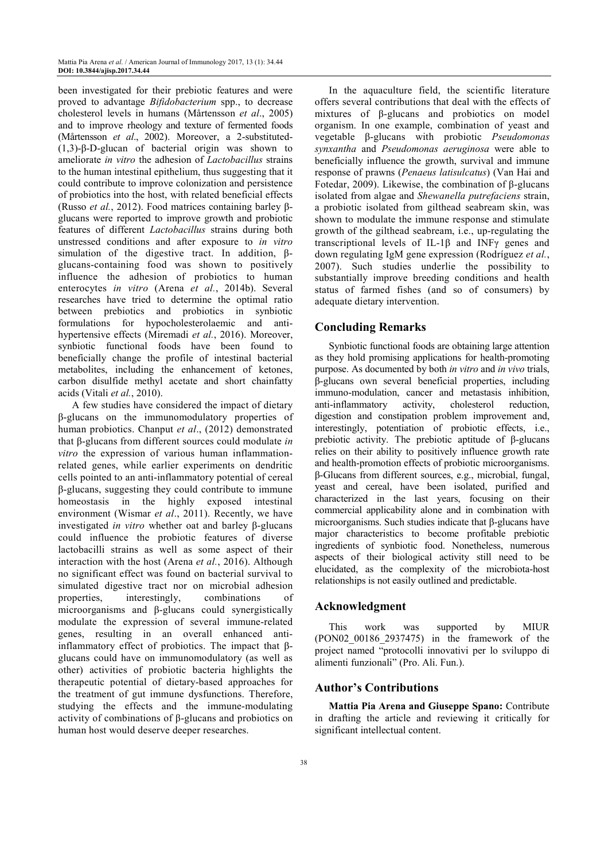been investigated for their prebiotic features and were proved to advantage *Bifidobacterium* spp., to decrease cholesterol levels in humans (Mårtensson *et al*., 2005) and to improve rheology and texture of fermented foods (Mårtensson *et al*., 2002). Moreover, a 2-substituted- (1,3)-β-D-glucan of bacterial origin was shown to ameliorate *in vitro* the adhesion of *Lactobacillus* strains to the human intestinal epithelium, thus suggesting that it could contribute to improve colonization and persistence of probiotics into the host, with related beneficial effects (Russo *et al.*, 2012). Food matrices containing barley βglucans were reported to improve growth and probiotic features of different *Lactobacillus* strains during both unstressed conditions and after exposure to *in vitro* simulation of the digestive tract. In addition, βglucans-containing food was shown to positively influence the adhesion of probiotics to human enterocytes *in vitro* (Arena *et al.*, 2014b). Several researches have tried to determine the optimal ratio between prebiotics and probiotics in synbiotic formulations for hypocholesterolaemic and antihypertensive effects (Miremadi *et al.*, 2016). Moreover, synbiotic functional foods have been found to beneficially change the profile of intestinal bacterial metabolites, including the enhancement of ketones, carbon disulfide methyl acetate and short chainfatty acids (Vitali *et al.*, 2010).

A few studies have considered the impact of dietary β-glucans on the immunomodulatory properties of human probiotics. Chanput *et al*., (2012) demonstrated that β-glucans from different sources could modulate *in vitro* the expression of various human inflammationrelated genes, while earlier experiments on dendritic cells pointed to an anti-inflammatory potential of cereal β-glucans, suggesting they could contribute to immune homeostasis in the highly exposed intestinal environment (Wismar *et al*., 2011). Recently, we have investigated *in vitro* whether oat and barley β-glucans could influence the probiotic features of diverse lactobacilli strains as well as some aspect of their interaction with the host (Arena *et al.*, 2016). Although no significant effect was found on bacterial survival to simulated digestive tract nor on microbial adhesion properties, interestingly, combinations of microorganisms and β-glucans could synergistically modulate the expression of several immune-related genes, resulting in an overall enhanced antiinflammatory effect of probiotics. The impact that βglucans could have on immunomodulatory (as well as other) activities of probiotic bacteria highlights the therapeutic potential of dietary-based approaches for the treatment of gut immune dysfunctions. Therefore, studying the effects and the immune-modulating activity of combinations of β-glucans and probiotics on human host would deserve deeper researches.

In the aquaculture field, the scientific literature offers several contributions that deal with the effects of mixtures of β-glucans and probiotics on model organism. In one example, combination of yeast and vegetable β-glucans with probiotic *Pseudomonas synxantha* and *Pseudomonas aeruginosa* were able to beneficially influence the growth, survival and immune response of prawns (*Penaeus latisulcatus*) (Van Hai and Fotedar, 2009). Likewise, the combination of β-glucans isolated from algae and *Shewanella putrefaciens* strain, a probiotic isolated from gilthead seabream skin, was shown to modulate the immune response and stimulate growth of the gilthead seabream, i.e., up-regulating the transcriptional levels of IL-1β and INFγ genes and down regulating IgM gene expression (Rodríguez *et al.*, 2007). Such studies underlie the possibility to substantially improve breeding conditions and health status of farmed fishes (and so of consumers) by adequate dietary intervention.

#### **Concluding Remarks**

Synbiotic functional foods are obtaining large attention as they hold promising applications for health-promoting purpose. As documented by both *in vitro* and *in vivo* trials, β-glucans own several beneficial properties, including immuno-modulation, cancer and metastasis inhibition, anti-inflammatory activity, cholesterol reduction, digestion and constipation problem improvement and, interestingly, potentiation of probiotic effects, i.e., prebiotic activity. The prebiotic aptitude of β-glucans relies on their ability to positively influence growth rate and health-promotion effects of probiotic microorganisms. β-Glucans from different sources, e.g., microbial, fungal, yeast and cereal, have been isolated, purified and characterized in the last years, focusing on their commercial applicability alone and in combination with microorganisms. Such studies indicate that β-glucans have major characteristics to become profitable prebiotic ingredients of synbiotic food. Nonetheless, numerous aspects of their biological activity still need to be elucidated, as the complexity of the microbiota-host relationships is not easily outlined and predictable.

#### **Acknowledgment**

This work was supported by MIUR (PON02\_00186\_2937475) in the framework of the project named "protocolli innovativi per lo sviluppo di alimenti funzionali" (Pro. Ali. Fun.).

# **Author's Contributions**

**Mattia Pia Arena and Giuseppe Spano:** Contribute in drafting the article and reviewing it critically for significant intellectual content.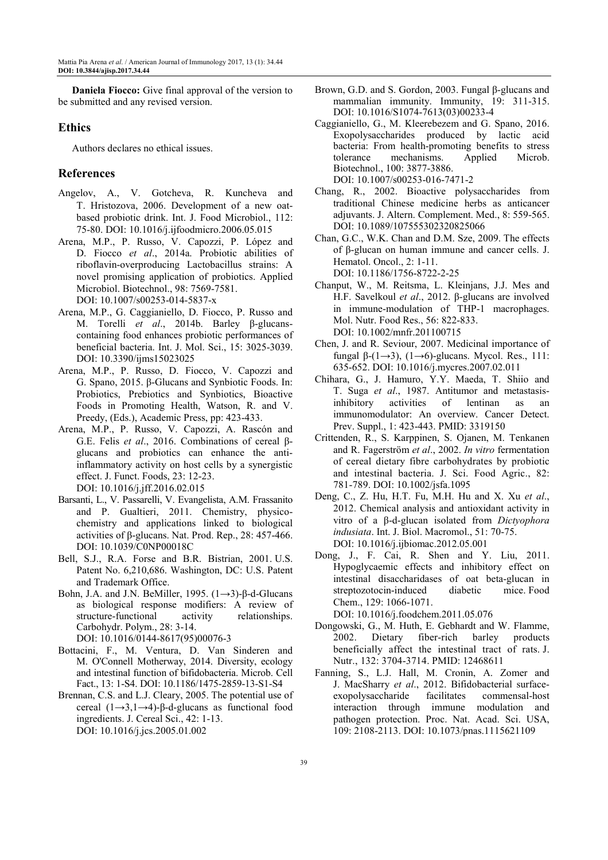**Daniela Fiocco:** Give final approval of the version to be submitted and any revised version.

#### **Ethics**

Authors declares no ethical issues.

# **References**

- Angelov, A., V. Gotcheva, R. Kuncheva and T. Hristozova, 2006. Development of a new oatbased probiotic drink. Int. J. Food Microbiol., 112: 75-80. DOI: 10.1016/j.ijfoodmicro.2006.05.015
- Arena, M.P., P. Russo, V. Capozzi, P. López and D. Fiocco *et al*., 2014a. Probiotic abilities of riboflavin-overproducing Lactobacillus strains: A novel promising application of probiotics. Applied Microbiol. Biotechnol., 98: 7569-7581. DOI: 10.1007/s00253-014-5837-x
- Arena, M.P., G. Caggianiello, D. Fiocco, P. Russo and M. Torelli *et al*., 2014b. Barley β-glucanscontaining food enhances probiotic performances of beneficial bacteria. Int. J. Mol. Sci., 15: 3025-3039. DOI: 10.3390/ijms15023025
- Arena, M.P., P. Russo, D. Fiocco, V. Capozzi and G. Spano, 2015. β-Glucans and Synbiotic Foods. In: Probiotics, Prebiotics and Synbiotics, Bioactive Foods in Promoting Health, Watson, R. and V. Preedy, (Eds.), Academic Press, pp: 423-433.
- Arena, M.P., P. Russo, V. Capozzi, A. Rascón and G.E. Felis *et al*., 2016. Combinations of cereal βglucans and probiotics can enhance the antiinflammatory activity on host cells by a synergistic effect. J. Funct. Foods, 23: 12-23. DOI: 10.1016/j.jff.2016.02.015
- Barsanti, L., V. Passarelli, V. Evangelista, A.M. Frassanito and P. Gualtieri, 2011. Chemistry, physicochemistry and applications linked to biological activities of β-glucans. Nat. Prod. Rep., 28: 457-466. DOI: 10.1039/C0NP00018C
- Bell, S.J., R.A. Forse and B.R. Bistrian, 2001. U.S. Patent No. 6,210,686. Washington, DC: U.S. Patent and Trademark Office.
- Bohn, J.A. and J.N. BeMiller, 1995.  $(1\rightarrow3)$ -β-d-Glucans as biological response modifiers: A review of structure-functional activity relationships. Carbohydr. Polym., 28: 3-14. DOI: 10.1016/0144-8617(95)00076-3
- Bottacini, F., M. Ventura, D. Van Sinderen and M. O'Connell Motherway, 2014. Diversity, ecology and intestinal function of bifidobacteria. Microb. Cell Fact., 13: 1-S4. DOI: 10.1186/1475-2859-13-S1-S4
- Brennan, C.S. and L.J. Cleary, 2005. The potential use of cereal (1→3,1→4)-β-d-glucans as functional food ingredients. J. Cereal Sci., 42: 1-13. DOI: 10.1016/j.jcs.2005.01.002
- Brown, G.D. and S. Gordon, 2003. Fungal β-glucans and mammalian immunity. Immunity, 19: 311-315. DOI: 10.1016/S1074-7613(03)00233-4
- Caggianiello, G., M. Kleerebezem and G. Spano, 2016. Exopolysaccharides produced by lactic acid bacteria: From health-promoting benefits to stress tolerance mechanisms. Applied Microb. Biotechnol., 100: 3877-3886. DOI: 10.1007/s00253-016-7471-2
- Chang, R., 2002. Bioactive polysaccharides from traditional Chinese medicine herbs as anticancer adjuvants. J. Altern. Complement. Med., 8: 559-565. DOI: 10.1089/107555302320825066
- Chan, G.C., W.K. Chan and D.M. Sze, 2009. The effects of β-glucan on human immune and cancer cells. J. Hematol. Oncol., 2: 1-11. DOI: 10.1186/1756-8722-2-25
- Chanput, W., M. Reitsma, L. Kleinjans, J.J. Mes and H.F. Savelkoul *et al*., 2012. β-glucans are involved in immune-modulation of THP-1 macrophages. Mol. Nutr. Food Res., 56: 822-833. DOI: 10.1002/mnfr.201100715
- Chen, J. and R. Seviour, 2007. Medicinal importance of fungal  $\beta$ -(1→3), (1→6)-glucans. Mycol. Res., 111: 635-652. DOI: 10.1016/j.mycres.2007.02.011
- Chihara, G., J. Hamuro, Y.Y. Maeda, T. Shiio and T. Suga *et al*., 1987. Antitumor and metastasisinhibitory activities of lentinan as an immunomodulator: An overview. Cancer Detect. Prev. Suppl., 1: 423-443. PMID: 3319150
- Crittenden, R., S. Karppinen, S. Ojanen, M. Tenkanen and R. Fagerström *et al*., 2002. *In vitro* fermentation of cereal dietary fibre carbohydrates by probiotic and intestinal bacteria. J. Sci. Food Agric., 82: 781-789. DOI: 10.1002/jsfa.1095
- Deng, C., Z. Hu, H.T. Fu, M.H. Hu and X. Xu *et al*., 2012. Chemical analysis and antioxidant activity in vitro of a β-d-glucan isolated from *Dictyophora indusiata*. Int. J. Biol. Macromol., 51: 70-75. DOI: 10.1016/j.ijbiomac.2012.05.001
- Dong, J., F. Cai, R. Shen and Y. Liu, 2011. Hypoglycaemic effects and inhibitory effect on intestinal disaccharidases of oat beta-glucan in streptozotocin-induced diabetic mice. Food Chem., 129: 1066-1071. DOI: 10.1016/j.foodchem.2011.05.076
- Dongowski, G., M. Huth, E. Gebhardt and W. Flamme, 2002. Dietary fiber-rich barley products beneficially affect the intestinal tract of rats. J.
- Nutr., 132: 3704-3714. PMID: 12468611 Fanning, S., L.J. Hall, M. Cronin, A. Zomer and J. MacSharry *et al*., 2012. Bifidobacterial surfaceexopolysaccharide facilitates commensal-host interaction through immune modulation and pathogen protection. Proc. Nat. Acad. Sci. USA, 109: 2108-2113. DOI: 10.1073/pnas.1115621109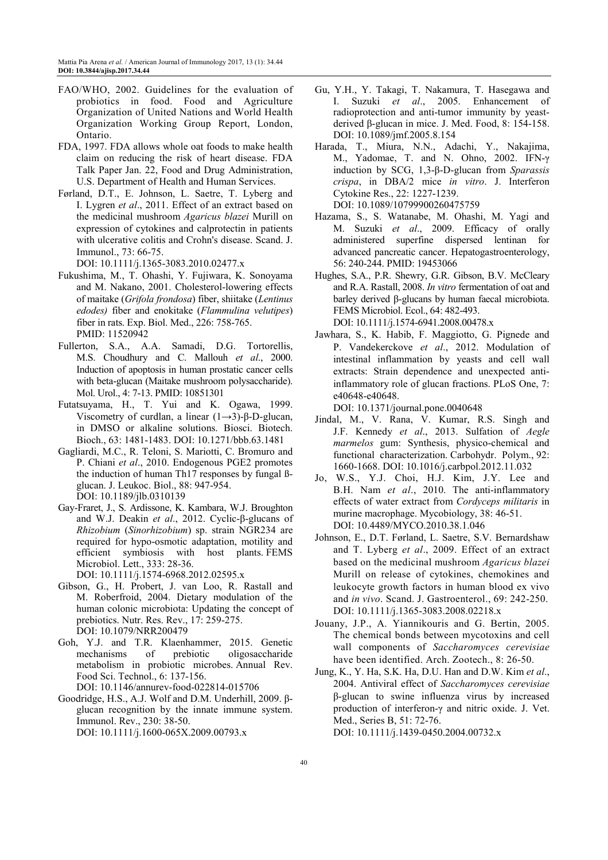- FAO/WHO, 2002. Guidelines for the evaluation of probiotics in food. Food and Agriculture Organization of United Nations and World Health Organization Working Group Report, London, Ontario.
- FDA, 1997. FDA allows whole oat foods to make health claim on reducing the risk of heart disease. FDA Talk Paper Jan. 22, Food and Drug Administration, U.S. Department of Health and Human Services.
- Førland, D.T., E. Johnson, L. Saetre, T. Lyberg and I. Lygren *et al*., 2011. Effect of an extract based on the medicinal mushroom *Agaricus blazei* Murill on expression of cytokines and calprotectin in patients with ulcerative colitis and Crohn's disease. Scand. J. Immunol., 73: 66-75.

DOI: 10.1111/j.1365-3083.2010.02477.x

- Fukushima, M., T. Ohashi, Y. Fujiwara, K. Sonoyama and M. Nakano, 2001. Cholesterol-lowering effects of maitake (*Grifola frondosa*) fiber, shiitake (*Lentinus edodes)* fiber and enokitake (*Flammulina velutipes*) fiber in rats. Exp. Biol. Med., 226: 758-765. PMID: 11520942
- Fullerton, S.A., A.A. Samadi, D.G. Tortorellis, M.S. Choudhury and C. Mallouh *et al*., 2000. Induction of apoptosis in human prostatic cancer cells with beta-glucan (Maitake mushroom polysaccharide). Mol. Urol., 4: 7-13. PMID: 10851301
- Futatsuyama, H., T. Yui and K. Ogawa, 1999. Viscometry of curdlan, a linear  $(1\rightarrow 3)$ -β-D-glucan, in DMSO or alkaline solutions. Biosci. Biotech. Bioch., 63: 1481-1483. DOI: 10.1271/bbb.63.1481
- Gagliardi, M.C., R. Teloni, S. Mariotti, C. Bromuro and P. Chiani *et al*., 2010. Endogenous PGE2 promotes the induction of human Th17 responses by fungal ßglucan. J. Leukoc. Biol., 88: 947-954. DOI: 10.1189/jlb.0310139
- Gay-Fraret, J., S. Ardissone, K. Kambara, W.J. Broughton and W.J. Deakin *et al*., 2012. Cyclic-β-glucans of *Rhizobium* (*Sinorhizobium*) sp. strain NGR234 are required for hypo-osmotic adaptation, motility and efficient symbiosis with host plants. FEMS Microbiol. Lett., 333: 28-36.

DOI: 10.1111/j.1574-6968.2012.02595.x

- Gibson, G., H. Probert, J. van Loo, R. Rastall and M. Roberfroid, 2004. Dietary modulation of the human colonic microbiota: Updating the concept of prebiotics. Nutr. Res. Rev., 17: 259-275. DOI: 10.1079/NRR200479
- Goh, Y.J. and T.R. Klaenhammer, 2015. Genetic mechanisms of prebiotic oligosaccharide metabolism in probiotic microbes. Annual Rev. Food Sci. Technol., 6: 137-156. DOI: 10.1146/annurev-food-022814-015706
- Goodridge, H.S., A.J. Wolf and D.M. Underhill, 2009. βglucan recognition by the innate immune system. Immunol. Rev., 230: 38-50. DOI: 10.1111/j.1600-065X.2009.00793.x
- Gu, Y.H., Y. Takagi, T. Nakamura, T. Hasegawa and I. Suzuki *et al*., 2005. Enhancement of radioprotection and anti-tumor immunity by yeastderived β-glucan in mice. J. Med. Food, 8: 154-158. DOI: 10.1089/jmf.2005.8.154
- Harada, T., Miura, N.N., Adachi, Y., Nakajima, M., Yadomae, T. and N. Ohno, 2002. IFN-γ induction by SCG, 1,3-β-D-glucan from *Sparassis crispa*, in DBA/2 mice *in vitro*. J. Interferon Cytokine Res., 22: 1227-1239. DOI: 10.1089/10799900260475759
- Hazama, S., S. Watanabe, M. Ohashi, M. Yagi and M. Suzuki *et al*., 2009. Efficacy of orally administered superfine dispersed lentinan for advanced pancreatic cancer. Hepatogastroenterology, 56: 240-244. PMID: 19453066
- Hughes, S.A., P.R. Shewry, G.R. Gibson, B.V. McCleary and R.A. Rastall, 2008. *In vitro* fermentation of oat and barley derived β-glucans by human faecal microbiota. FEMS Microbiol. Ecol., 64: 482-493. DOI: 10.1111/j.1574-6941.2008.00478.x
- Jawhara, S., K. Habib, F. Maggiotto, G. Pignede and P. Vandekerckove *et al*., 2012. Modulation of intestinal inflammation by yeasts and cell wall extracts: Strain dependence and unexpected antiinflammatory role of glucan fractions. PLoS One, 7: e40648-e40648.

DOI: 10.1371/journal.pone.0040648

- Jindal, M., V. Rana, V. Kumar, R.S. Singh and J.F. Kennedy *et al*., 2013. Sulfation of *Aegle marmelos* gum: Synthesis, physico-chemical and functional characterization. Carbohydr. Polym., 92: 1660-1668. DOI: 10.1016/j.carbpol.2012.11.032
- Jo, W.S., Y.J. Choi, H.J. Kim, J.Y. Lee and B.H. Nam *et al*., 2010. The anti-inflammatory effects of water extract from *Cordyceps militaris* in murine macrophage. Mycobiology, 38: 46-51. DOI: 10.4489/MYCO.2010.38.1.046
- Johnson, E., D.T. Førland, L. Saetre, S.V. Bernardshaw and T. Lyberg *et al*., 2009. Effect of an extract based on the medicinal mushroom *Agaricus blazei*  Murill on release of cytokines, chemokines and leukocyte growth factors in human blood ex vivo and *in vivo*. Scand. J. Gastroenterol., 69: 242-250. DOI: 10.1111/j.1365-3083.2008.02218.x
- Jouany, J.P., A. Yiannikouris and G. Bertin, 2005. The chemical bonds between mycotoxins and cell wall components of *Saccharomyces cerevisiae* have been identified. Arch. Zootech., 8: 26-50.
- Jung, K., Y. Ha, S.K. Ha, D.U. Han and D.W. Kim *et al*., 2004. Antiviral effect of *Saccharomyces cerevisiae* β-glucan to swine influenza virus by increased production of interferon-γ and nitric oxide. J. Vet. Med., Series B, 51: 72-76.

DOI: 10.1111/j.1439-0450.2004.00732.x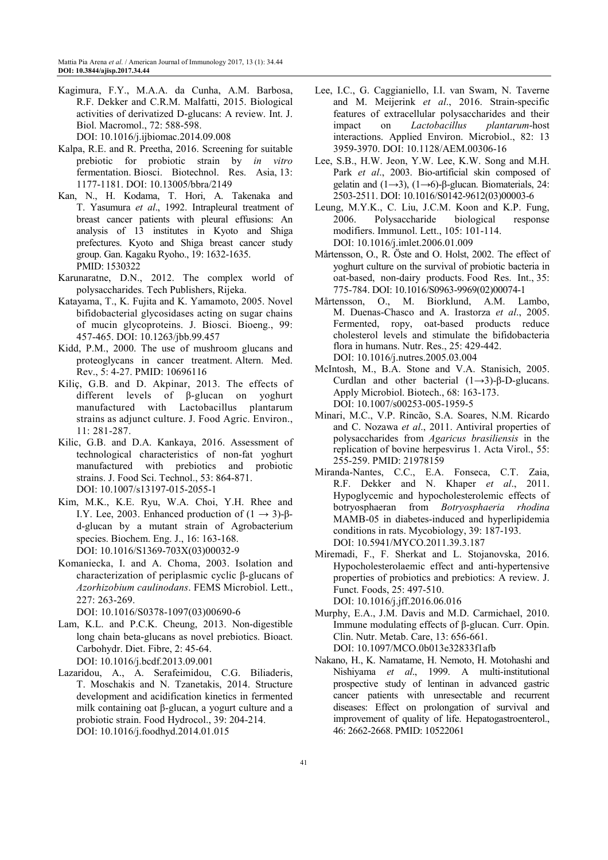- Kagimura, F.Y., M.A.A. da Cunha, A.M. Barbosa, R.F. Dekker and C.R.M. Malfatti, 2015. Biological activities of derivatized D-glucans: A review. Int. J. Biol. Macromol., 72: 588-598. DOI: 10.1016/j.ijbiomac.2014.09.008
- Kalpa, R.E. and R. Preetha, 2016. Screening for suitable prebiotic for probiotic strain by *in vitro* fermentation. Biosci. Biotechnol. Res. Asia, 13: 1177-1181. DOI: 10.13005/bbra/2149
- Kan, N., H. Kodama, T. Hori, A. Takenaka and T. Yasumura *et al*., 1992. Intrapleural treatment of breast cancer patients with pleural effusions: An analysis of 13 institutes in Kyoto and Shiga prefectures. Kyoto and Shiga breast cancer study group. Gan. Kagaku Ryoho., 19: 1632-1635. PMID: 1530322
- Karunaratne, D.N., 2012. The complex world of polysaccharides. Tech Publishers, Rijeka.
- Katayama, T., K. Fujita and K. Yamamoto, 2005. Novel bifidobacterial glycosidases acting on sugar chains of mucin glycoproteins. J. Biosci. Bioeng., 99: 457-465. DOI: 10.1263/jbb.99.457
- Kidd, P.M., 2000. The use of mushroom glucans and proteoglycans in cancer treatment. Altern. Med. Rev., 5: 4-27. PMID: 10696116
- Kiliç, G.B. and D. Akpinar, 2013. The effects of different levels of β-glucan on yoghurt manufactured with Lactobacillus plantarum strains as adjunct culture. J. Food Agric. Environ., 11: 281-287.
- Kilic, G.B. and D.A. Kankaya, 2016. Assessment of technological characteristics of non-fat yoghurt manufactured with prebiotics and probiotic strains. J. Food Sci. Technol., 53: 864-871. DOI: 10.1007/s13197-015-2055-1
- Kim, M.K., K.E. Ryu, W.A. Choi, Y.H. Rhee and I.Y. Lee, 2003. Enhanced production of  $(1 \rightarrow 3)$ -βd-glucan by a mutant strain of Agrobacterium species. Biochem. Eng. J., 16: 163-168. DOI: 10.1016/S1369-703X(03)00032-9
- Komaniecka, I. and A. Choma, 2003. Isolation and characterization of periplasmic cyclic β-glucans of *Azorhizobium caulinodans*. FEMS Microbiol. Lett., 227: 263-269.

DOI: 10.1016/S0378-1097(03)00690-6

- Lam, K.L. and P.C.K. Cheung, 2013. Non-digestible long chain beta-glucans as novel prebiotics. Bioact. Carbohydr. Diet. Fibre, 2: 45-64. DOI: 10.1016/j.bcdf.2013.09.001
- Lazaridou, A., A. Serafeimidou, C.G. Biliaderis, T. Moschakis and N. Tzanetakis, 2014. Structure development and acidification kinetics in fermented milk containing oat β-glucan, a yogurt culture and a probiotic strain. Food Hydrocol., 39: 204-214. DOI: 10.1016/j.foodhyd.2014.01.015
- Lee, I.C., G. Caggianiello, I.I. van Swam, N. Taverne and M. Meijerink *et al*., 2016. Strain-specific features of extracellular polysaccharides and their impact on *Lactobacillus plantarum*-host interactions. Applied Environ. Microbiol., 82: 13 3959-3970. DOI: 10.1128/AEM.00306-16
- Lee, S.B., H.W. Jeon, Y.W. Lee, K.W. Song and M.H. Park *et al*., 2003. Bio-artificial skin composed of gelatin and  $(1\rightarrow 3)$ ,  $(1\rightarrow 6)$ -β-glucan. Biomaterials, 24: 2503-2511. DOI: 10.1016/S0142-9612(03)00003-6
- Leung, M.Y.K., C. Liu, J.C.M. Koon and K.P. Fung, 2006. Polysaccharide biological response modifiers. Immunol. Lett., 105: 101-114. DOI: 10.1016/j.imlet.2006.01.009
- Mårtensson, O., R. Öste and O. Holst, 2002. The effect of yoghurt culture on the survival of probiotic bacteria in oat-based, non-dairy products. Food Res. Int., 35: 775-784. DOI: 10.1016/S0963-9969(02)00074-1
- Mårtensson, O., M. Biorklund, A.M. Lambo, M. Duenas-Chasco and A. Irastorza *et al*., 2005. Fermented, ropy, oat-based products reduce cholesterol levels and stimulate the bifidobacteria flora in humans. Nutr. Res., 25: 429-442. DOI: 10.1016/j.nutres.2005.03.004
- McIntosh, M., B.A. Stone and V.A. Stanisich, 2005. Curdlan and other bacterial  $(1\rightarrow 3)$ -β-D-glucans. Apply Microbiol. Biotech., 68: 163-173. DOI: 10.1007/s00253-005-1959-5
- Minari, M.C., V.P. Rincão, S.A. Soares, N.M. Ricardo and C. Nozawa *et al*., 2011. Antiviral properties of polysaccharides from *Agaricus brasiliensis* in the replication of bovine herpesvirus 1. Acta Virol., 55: 255-259. PMID: 21978159
- Miranda-Nantes, C.C., E.A. Fonseca, C.T. Zaia, R.F. Dekker and N. Khaper *et al*., 2011. Hypoglycemic and hypocholesterolemic effects of botryosphaeran from *Botryosphaeria rhodina* MAMB-05 in diabetes-induced and hyperlipidemia conditions in rats. Mycobiology, 39: 187-193. DOI: 10.5941/MYCO.2011.39.3.187
- Miremadi, F., F. Sherkat and L. Stojanovska, 2016. Hypocholesterolaemic effect and anti-hypertensive properties of probiotics and prebiotics: A review. J. Funct. Foods, 25: 497-510. DOI: 10.1016/j.jff.2016.06.016
- Murphy, E.A., J.M. Davis and M.D. Carmichael, 2010. Immune modulating effects of β-glucan. Curr. Opin. Clin. Nutr. Metab. Care, 13: 656-661. DOI: 10.1097/MCO.0b013e32833f1afb
- Nakano, H., K. Namatame, H. Nemoto, H. Motohashi and Nishiyama *et al*., 1999. A multi-institutional prospective study of lentinan in advanced gastric cancer patients with unresectable and recurrent diseases: Effect on prolongation of survival and improvement of quality of life. Hepatogastroenterol., 46: 2662-2668. PMID: 10522061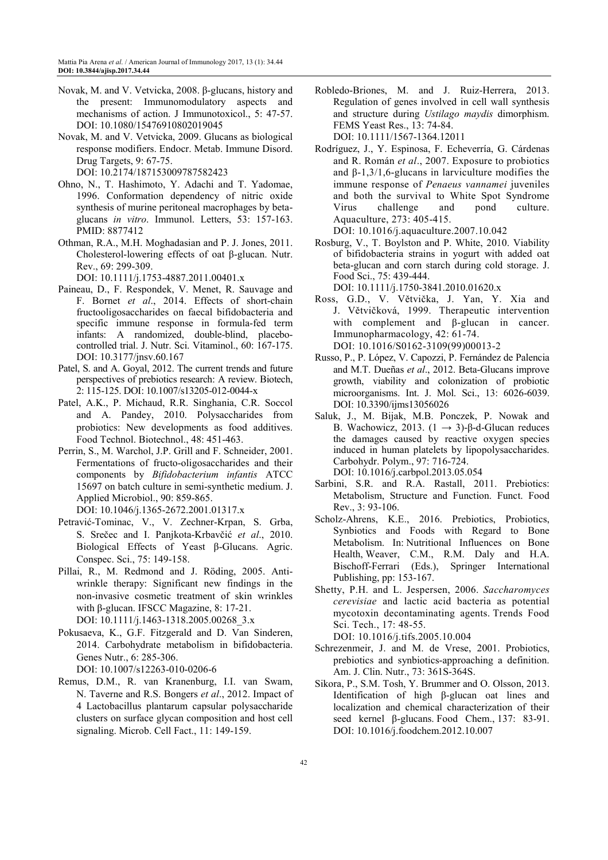- Novak, M. and V. Vetvicka, 2008. β-glucans, history and the present: Immunomodulatory aspects and mechanisms of action. J Immunotoxicol., 5: 47-57. DOI: 10.1080/15476910802019045
- Novak, M. and V. Vetvicka, 2009. Glucans as biological response modifiers. Endocr. Metab. Immune Disord. Drug Targets, 9: 67-75. DOI: 10.2174/187153009787582423

Ohno, N., T. Hashimoto, Y. Adachi and T. Yadomae, 1996. Conformation dependency of nitric oxide synthesis of murine peritoneal macrophages by betaglucans *in vitro*. Immunol. Letters, 53: 157-163.

PMID: 8877412 Othman, R.A., M.H. Moghadasian and P. J. Jones, 2011. Cholesterol-lowering effects of oat β-glucan. Nutr. Rev., 69: 299-309.

DOI: 10.1111/j.1753-4887.2011.00401.x

- Paineau, D., F. Respondek, V. Menet, R. Sauvage and F. Bornet *et al*., 2014. Effects of short-chain fructooligosaccharides on faecal bifidobacteria and specific immune response in formula-fed term infants: A randomized, double-blind, placebocontrolled trial. J. Nutr. Sci. Vitaminol., 60: 167-175. DOI: 10.3177/jnsv.60.167
- Patel, S. and A. Goyal, 2012. The current trends and future perspectives of prebiotics research: A review. Biotech, 2: 115-125. DOI: 10.1007/s13205-012-0044-x
- Patel, A.K., P. Michaud, R.R. Singhania, C.R. Soccol and A. Pandey, 2010. Polysaccharides from probiotics: New developments as food additives. Food Technol. Biotechnol., 48: 451-463.
- Perrin, S., M. Warchol, J.P. Grill and F. Schneider, 2001. Fermentations of fructo-oligosaccharides and their components by *Bifidobacterium infantis* ATCC 15697 on batch culture in semi-synthetic medium. J. Applied Microbiol., 90: 859-865. DOI: 10.1046/j.1365-2672.2001.01317.x
- Petravić-Tominac, V., V. Zechner-Krpan, S. Grba, S. Srečec and I. Panjkota-Krbavčić *et al*., 2010. Biological Effects of Yeast β-Glucans. Agric. Conspec. Sci., 75: 149-158.
- Pillai, R., M. Redmond and J. Röding, 2005. Antiwrinkle therapy: Significant new findings in the non-invasive cosmetic treatment of skin wrinkles with β-glucan. IFSCC Magazine, 8: 17-21. DOI: 10.1111/j.1463-1318.2005.00268\_3.x
- Pokusaeva, K., G.F. Fitzgerald and D. Van Sinderen, 2014. Carbohydrate metabolism in bifidobacteria. Genes Nutr., 6: 285-306.

DOI: 10.1007/s12263-010-0206-6

Remus, D.M., R. van Kranenburg, I.I. van Swam, N. Taverne and R.S. Bongers *et al*., 2012. Impact of 4 Lactobacillus plantarum capsular polysaccharide clusters on surface glycan composition and host cell signaling. Microb. Cell Fact., 11: 149-159.

- Robledo-Briones, M. and J. Ruiz-Herrera, 2013. Regulation of genes involved in cell wall synthesis and structure during *Ustilago maydis* dimorphism. FEMS Yeast Res., 13: 74-84. DOI: 10.1111/1567-1364.12011
- Rodríguez, J., Y. Espinosa, F. Echeverría, G. Cárdenas and R. Román *et al*., 2007. Exposure to probiotics and  $β-1,3/1,6$ -glucans in larviculture modifies the immune response of *Penaeus vannamei* juveniles and both the survival to White Spot Syndrome Virus challenge and pond culture. Aquaculture, 273: 405-415.

DOI: 10.1016/j.aquaculture.2007.10.042

Rosburg, V., T. Boylston and P. White, 2010. Viability of bifidobacteria strains in yogurt with added oat beta-glucan and corn starch during cold storage. J. Food Sci., 75: 439-444.

 DOI: 10.1111/j.1750-3841.2010.01620.x Ross, G.D., V. Větvička, J. Yan, Y. Xia and J. Větvičková, 1999. Therapeutic intervention with complement and β-glucan in cancer. Immunopharmacology, 42: 61-74.

DOI: 10.1016/S0162-3109(99)00013-2

- Russo, P., P. López, V. Capozzi, P. Fernández de Palencia and M.T. Dueñas *et al*., 2012. Beta-Glucans improve growth, viability and colonization of probiotic microorganisms. Int. J. Mol. Sci., 13: 6026-6039. DOI: 10.3390/ijms13056026
- Saluk, J., M. Bijak, M.B. Ponczek, P. Nowak and B. Wachowicz, 2013.  $(1 \rightarrow 3)$ -β-d-Glucan reduces the damages caused by reactive oxygen species induced in human platelets by lipopolysaccharides. Carbohydr. Polym., 97: 716-724. DOI: 10.1016/j.carbpol.2013.05.054
- Sarbini, S.R. and R.A. Rastall, 2011. Prebiotics: Metabolism, Structure and Function. Funct. Food Rev., 3: 93-106.
- Scholz-Ahrens, K.E., 2016. Prebiotics, Probiotics, Synbiotics and Foods with Regard to Bone Metabolism. In: Nutritional Influences on Bone Health, Weaver, C.M., R.M. Daly and H.A. Bischoff-Ferrari (Eds.), Springer International Publishing, pp: 153-167.
- Shetty, P.H. and L. Jespersen, 2006. *Saccharomyces cerevisiae* and lactic acid bacteria as potential mycotoxin decontaminating agents. Trends Food Sci. Tech., 17: 48-55.

DOI: 10.1016/j.tifs.2005.10.004

- Schrezenmeir, J. and M. de Vrese, 2001. Probiotics, prebiotics and synbiotics-approaching a definition. Am. J. Clin. Nutr., 73: 361S-364S.
- Sikora, P., S.M. Tosh, Y. Brummer and O. Olsson, 2013. Identification of high β-glucan oat lines and localization and chemical characterization of their seed kernel β-glucans. Food Chem., 137: 83-91. DOI: 10.1016/j.foodchem.2012.10.007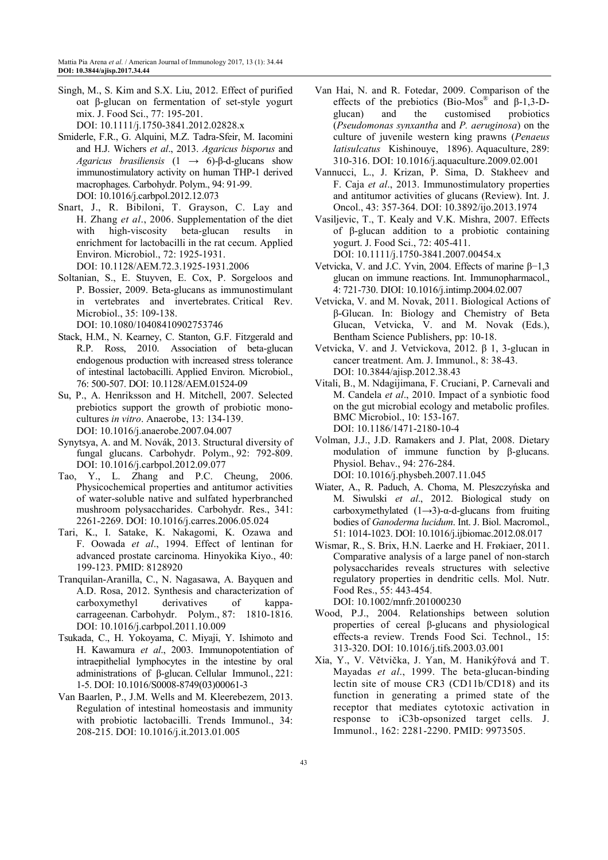Singh, M., S. Kim and S.X. Liu, 2012. Effect of purified oat β-glucan on fermentation of set-style yogurt mix. J. Food Sci., 77: 195-201.

DOI: 10.1111/j.1750-3841.2012.02828.x

- Smiderle, F.R., G. Alquini, M.Z. Tadra-Sfeir, M. Iacomini and H.J. Wichers *et al*., 2013. *Agaricus bisporus* and *Agaricus brasiliensis* (1 → 6)-β-d-glucans show immunostimulatory activity on human THP-1 derived macrophages. Carbohydr. Polym., 94: 91-99. DOI: 10.1016/j.carbpol.2012.12.073
- Snart, J., R. Bibiloni, T. Grayson, C. Lay and H. Zhang *et al*., 2006. Supplementation of the diet with high-viscosity beta-glucan results in enrichment for lactobacilli in the rat cecum. Applied Environ. Microbiol., 72: 1925-1931. DOI: 10.1128/AEM.72.3.1925-1931.2006
- Soltanian, S., E. Stuyven, E. Cox, P. Sorgeloos and P. Bossier, 2009. Beta-glucans as immunostimulant in vertebrates and invertebrates. Critical Rev. Microbiol., 35: 109-138.

DOI: 10.1080/10408410902753746

- Stack, H.M., N. Kearney, C. Stanton, G.F. Fitzgerald and R.P. Ross, 2010. Association of beta-glucan endogenous production with increased stress tolerance of intestinal lactobacilli. Applied Environ. Microbiol., 76: 500-507. DOI: 10.1128/AEM.01524-09
- Su, P., A. Henriksson and H. Mitchell, 2007. Selected prebiotics support the growth of probiotic monocultures *in vitro*. Anaerobe, 13: 134-139. DOI: 10.1016/j.anaerobe.2007.04.007
- Synytsya, A. and M. Novák, 2013. Structural diversity of fungal glucans. Carbohydr. Polym., 92: 792-809. DOI: 10.1016/j.carbpol.2012.09.077
- Tao, Y., L. Zhang and P.C. Cheung, 2006. Physicochemical properties and antitumor activities of water-soluble native and sulfated hyperbranched mushroom polysaccharides. Carbohydr. Res., 341: 2261-2269. DOI: 10.1016/j.carres.2006.05.024
- Tari, K., I. Satake, K. Nakagomi, K. Ozawa and F. Oowada *et al*., 1994. Effect of lentinan for advanced prostate carcinoma. Hinyokika Kiyo., 40: 199-123. PMID: 8128920
- Tranquilan-Aranilla, C., N. Nagasawa, A. Bayquen and A.D. Rosa, 2012. Synthesis and characterization of carboxymethyl derivatives of kappacarrageenan. Carbohydr. Polym., 87: 1810-1816. DOI: 10.1016/j.carbpol.2011.10.009
- Tsukada, C., H. Yokoyama, C. Miyaji, Y. Ishimoto and H. Kawamura *et al*., 2003. Immunopotentiation of intraepithelial lymphocytes in the intestine by oral administrations of β-glucan. Cellular Immunol., 221: 1-5. DOI: 10.1016/S0008-8749(03)00061-3
- Van Baarlen, P., J.M. Wells and M. Kleerebezem, 2013. Regulation of intestinal homeostasis and immunity with probiotic lactobacilli. Trends Immunol., 34: 208-215. DOI: 10.1016/j.it.2013.01.005
- Van Hai, N. and R. Fotedar, 2009. Comparison of the effects of the prebiotics (Bio-Mos<sup>®</sup> and  $\beta$ -1,3-Dglucan) and the customised probiotics (*Pseudomonas synxantha* and *P. aeruginosa*) on the culture of juvenile western king prawns (*Penaeus latisulcatus* Kishinouye, 1896). Aquaculture, 289: 310-316. DOI: 10.1016/j.aquaculture.2009.02.001
- Vannucci, L., J. Krizan, P. Sima, D. Stakheev and F. Caja *et al*., 2013. Immunostimulatory properties and antitumor activities of glucans (Review). Int. J. Oncol., 43: 357-364. DOI: 10.3892/ijo.2013.1974
- Vasiljevic, T., T. Kealy and V.K. Mishra, 2007. Effects of β-glucan addition to a probiotic containing yogurt. J. Food Sci., 72: 405-411. DOI: 10.1111/j.1750-3841.2007.00454.x
- Vetvicka, V. and J.C. Yvin, 2004. Effects of marine β−1,3 glucan on immune reactions. Int. Immunopharmacol., 4: 721-730. DIOI: 10.1016/j.intimp.2004.02.007
- Vetvicka, V. and M. Novak, 2011. Biological Actions of β-Glucan. In: Biology and Chemistry of Beta Glucan, Vetvicka, V. and M. Novak (Eds.), Bentham Science Publishers, pp: 10-18.
- Vetvicka, V. and J. Vetvickova, 2012. β 1, 3-glucan in cancer treatment. Am. J. Immunol., 8: 38-43. DOI: 10.3844/ajisp.2012.38.43
- Vitali, B., M. Ndagijimana, F. Cruciani, P. Carnevali and M. Candela *et al*., 2010. Impact of a synbiotic food on the gut microbial ecology and metabolic profiles. BMC Microbiol., 10: 153-167. DOI: 10.1186/1471-2180-10-4
- Volman, J.J., J.D. Ramakers and J. Plat, 2008. Dietary modulation of immune function by β-glucans. Physiol. Behav., 94: 276-284. DOI: 10.1016/j.physbeh.2007.11.045
- Wiater, A., R. Paduch, A. Choma, M. Pleszczyńska and M. Siwulski *et al*., 2012. Biological study on carboxymethylated  $(1\rightarrow 3)$ -α-d-glucans from fruiting bodies of *Ganoderma lucidum*. Int. J. Biol. Macromol., 51: 1014-1023. DOI: 10.1016/j.ijbiomac.2012.08.017
- Wismar, R., S. Brix, H.N. Laerke and H. Frøkiaer, 2011. Comparative analysis of a large panel of non-starch polysaccharides reveals structures with selective regulatory properties in dendritic cells. Mol. Nutr. Food Res., 55: 443-454. DOI: 10.1002/mnfr.201000230
- Wood, P.J., 2004. Relationships between solution properties of cereal β-glucans and physiological effects-a review. Trends Food Sci. Technol., 15: 313-320. DOI: 10.1016/j.tifs.2003.03.001
- Xia, Y., V. Větvička, J. Yan, M. Hanikýřová and T. Mayadas *et al*., 1999. The beta-glucan-binding lectin site of mouse CR3 (CD11b/CD18) and its function in generating a primed state of the receptor that mediates cytotoxic activation in response to iC3b-opsonized target cells. J. Immunol., 162: 2281-2290. PMID: 9973505.